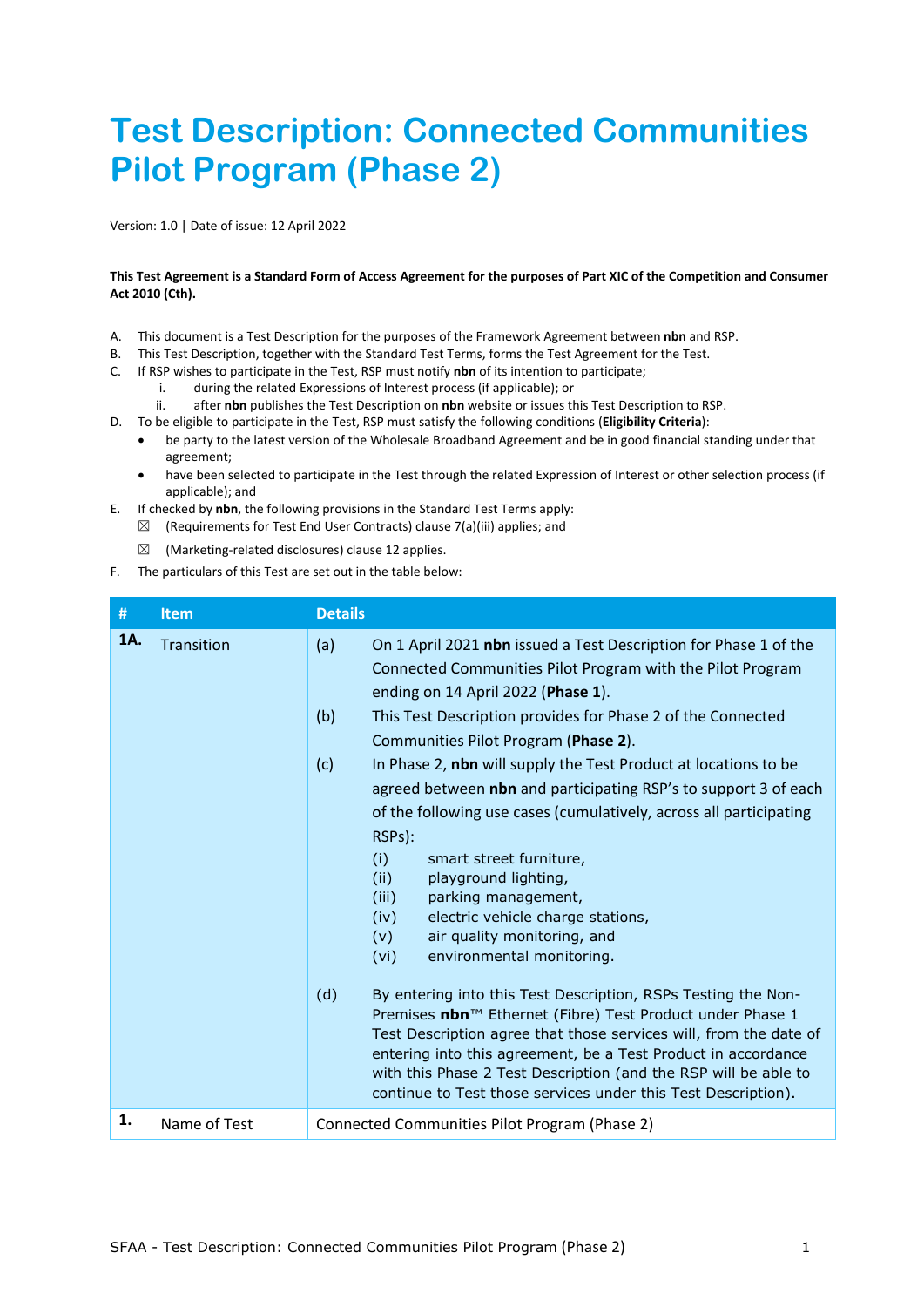# **Test Description: Connected Communities Pilot Program (Phase 2)**

Version: 1.0 | Date of issue: 12 April 2022

## **This Test Agreement is a Standard Form of Access Agreement for the purposes of Part XIC of the Competition and Consumer Act 2010 (Cth).**

- A. This document is a Test Description for the purposes of the Framework Agreement between **nbn** and RSP.
- B. This Test Description, together with the Standard Test Terms, forms the Test Agreement for the Test.
- C. If RSP wishes to participate in the Test, RSP must notify **nbn** of its intention to participate;
	- i. during the related Expressions of Interest process (if applicable); or
	- ii. after **nbn** publishes the Test Description on **nbn** website or issues this Test Description to RSP.
- D. To be eligible to participate in the Test, RSP must satisfy the following conditions (**Eligibility Criteria**):
	- be party to the latest version of the Wholesale Broadband Agreement and be in good financial standing under that agreement;
	- have been selected to participate in the Test through the related Expression of Interest or other selection process (if applicable); and
- E. If checked by **nbn**, the following provisions in the Standard Test Terms apply:
	- $\boxtimes$  (Requirements for Test End User Contracts) clause 7(a)(iii) applies; and
	- $\boxtimes$  (Marketing-related disclosures) clause 12 applies.
- F. The particulars of this Test are set out in the table below:

| #   | <b>Item</b>  | <b>Details</b>                                                                                                                                                                                                                                                                                                                                                                                                                                                                                                                                                                                                                                                                                                                                                                                                                                                                                                                                                                                                                                                                                                                                                  |
|-----|--------------|-----------------------------------------------------------------------------------------------------------------------------------------------------------------------------------------------------------------------------------------------------------------------------------------------------------------------------------------------------------------------------------------------------------------------------------------------------------------------------------------------------------------------------------------------------------------------------------------------------------------------------------------------------------------------------------------------------------------------------------------------------------------------------------------------------------------------------------------------------------------------------------------------------------------------------------------------------------------------------------------------------------------------------------------------------------------------------------------------------------------------------------------------------------------|
| 1A. | Transition   | On 1 April 2021 nbn issued a Test Description for Phase 1 of the<br>(a)<br>Connected Communities Pilot Program with the Pilot Program<br>ending on 14 April 2022 (Phase 1).<br>(b)<br>This Test Description provides for Phase 2 of the Connected<br>Communities Pilot Program (Phase 2).<br>(c)<br>In Phase 2, nbn will supply the Test Product at locations to be<br>agreed between nbn and participating RSP's to support 3 of each<br>of the following use cases (cumulatively, across all participating<br>RSPs):<br>(i)<br>smart street furniture,<br>(ii)<br>playground lighting,<br>(iii)<br>parking management,<br>electric vehicle charge stations,<br>(iv)<br>air quality monitoring, and<br>(v)<br>(vi)<br>environmental monitoring.<br>(d)<br>By entering into this Test Description, RSPs Testing the Non-<br>Premises nbn™ Ethernet (Fibre) Test Product under Phase 1<br>Test Description agree that those services will, from the date of<br>entering into this agreement, be a Test Product in accordance<br>with this Phase 2 Test Description (and the RSP will be able to<br>continue to Test those services under this Test Description). |
| 1.  | Name of Test | Connected Communities Pilot Program (Phase 2)                                                                                                                                                                                                                                                                                                                                                                                                                                                                                                                                                                                                                                                                                                                                                                                                                                                                                                                                                                                                                                                                                                                   |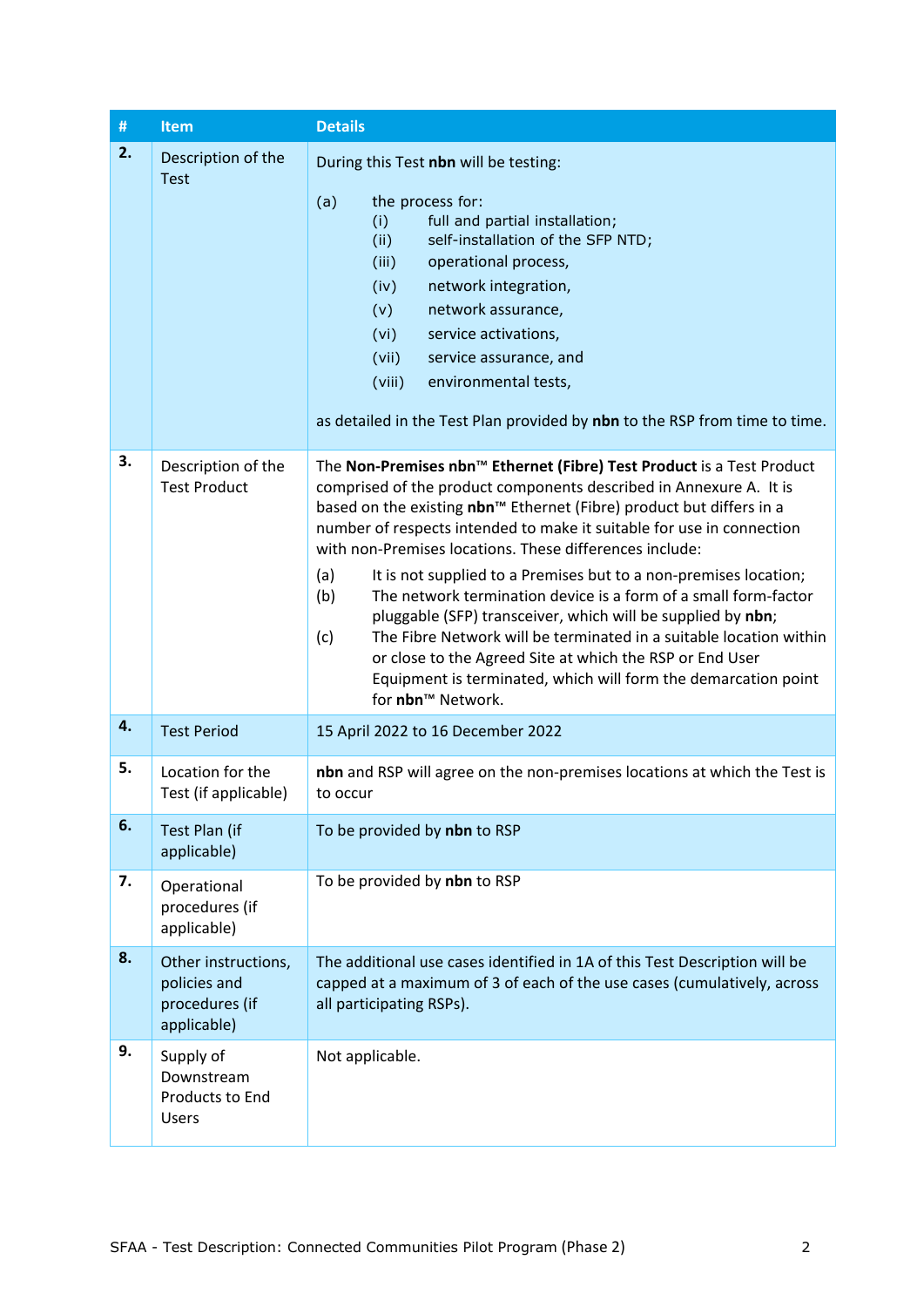| $\#$ | <b>Item</b>                                                          | <b>Details</b>                                                                                                                                                                                                                                                                                                                                                                                                                                                                                                                                                                                                                                                                                                                                                                                                          |
|------|----------------------------------------------------------------------|-------------------------------------------------------------------------------------------------------------------------------------------------------------------------------------------------------------------------------------------------------------------------------------------------------------------------------------------------------------------------------------------------------------------------------------------------------------------------------------------------------------------------------------------------------------------------------------------------------------------------------------------------------------------------------------------------------------------------------------------------------------------------------------------------------------------------|
| 2.   | Description of the<br><b>Test</b>                                    | During this Test nbn will be testing:<br>the process for:<br>(a)<br>full and partial installation;<br>(i)<br>self-installation of the SFP NTD;<br>(ii)<br>operational process,<br>(iii)<br>network integration,<br>(iv)<br>network assurance,<br>(v)<br>service activations,<br>(vi)<br>(vii)<br>service assurance, and<br>(viii)<br>environmental tests,<br>as detailed in the Test Plan provided by nbn to the RSP from time to time.                                                                                                                                                                                                                                                                                                                                                                                 |
| 3.   | Description of the<br><b>Test Product</b>                            | The Non-Premises nbn™ Ethernet (Fibre) Test Product is a Test Product<br>comprised of the product components described in Annexure A. It is<br>based on the existing nbn <sup>™</sup> Ethernet (Fibre) product but differs in a<br>number of respects intended to make it suitable for use in connection<br>with non-Premises locations. These differences include:<br>(a)<br>It is not supplied to a Premises but to a non-premises location;<br>The network termination device is a form of a small form-factor<br>(b)<br>pluggable (SFP) transceiver, which will be supplied by nbn;<br>The Fibre Network will be terminated in a suitable location within<br>(c)<br>or close to the Agreed Site at which the RSP or End User<br>Equipment is terminated, which will form the demarcation point<br>for nbn™ Network. |
| 4.   | <b>Test Period</b>                                                   | 15 April 2022 to 16 December 2022                                                                                                                                                                                                                                                                                                                                                                                                                                                                                                                                                                                                                                                                                                                                                                                       |
| 5.   | Location for the<br>Test (if applicable)                             | nbn and RSP will agree on the non-premises locations at which the Test is<br>to occur                                                                                                                                                                                                                                                                                                                                                                                                                                                                                                                                                                                                                                                                                                                                   |
| 6.   | Test Plan (if<br>applicable)                                         | To be provided by nbn to RSP                                                                                                                                                                                                                                                                                                                                                                                                                                                                                                                                                                                                                                                                                                                                                                                            |
| 7.   | Operational<br>procedures (if<br>applicable)                         | To be provided by nbn to RSP                                                                                                                                                                                                                                                                                                                                                                                                                                                                                                                                                                                                                                                                                                                                                                                            |
| 8.   | Other instructions,<br>policies and<br>procedures (if<br>applicable) | The additional use cases identified in 1A of this Test Description will be<br>capped at a maximum of 3 of each of the use cases (cumulatively, across<br>all participating RSPs).                                                                                                                                                                                                                                                                                                                                                                                                                                                                                                                                                                                                                                       |
| 9.   | Supply of<br>Downstream<br>Products to End<br>Users                  | Not applicable.                                                                                                                                                                                                                                                                                                                                                                                                                                                                                                                                                                                                                                                                                                                                                                                                         |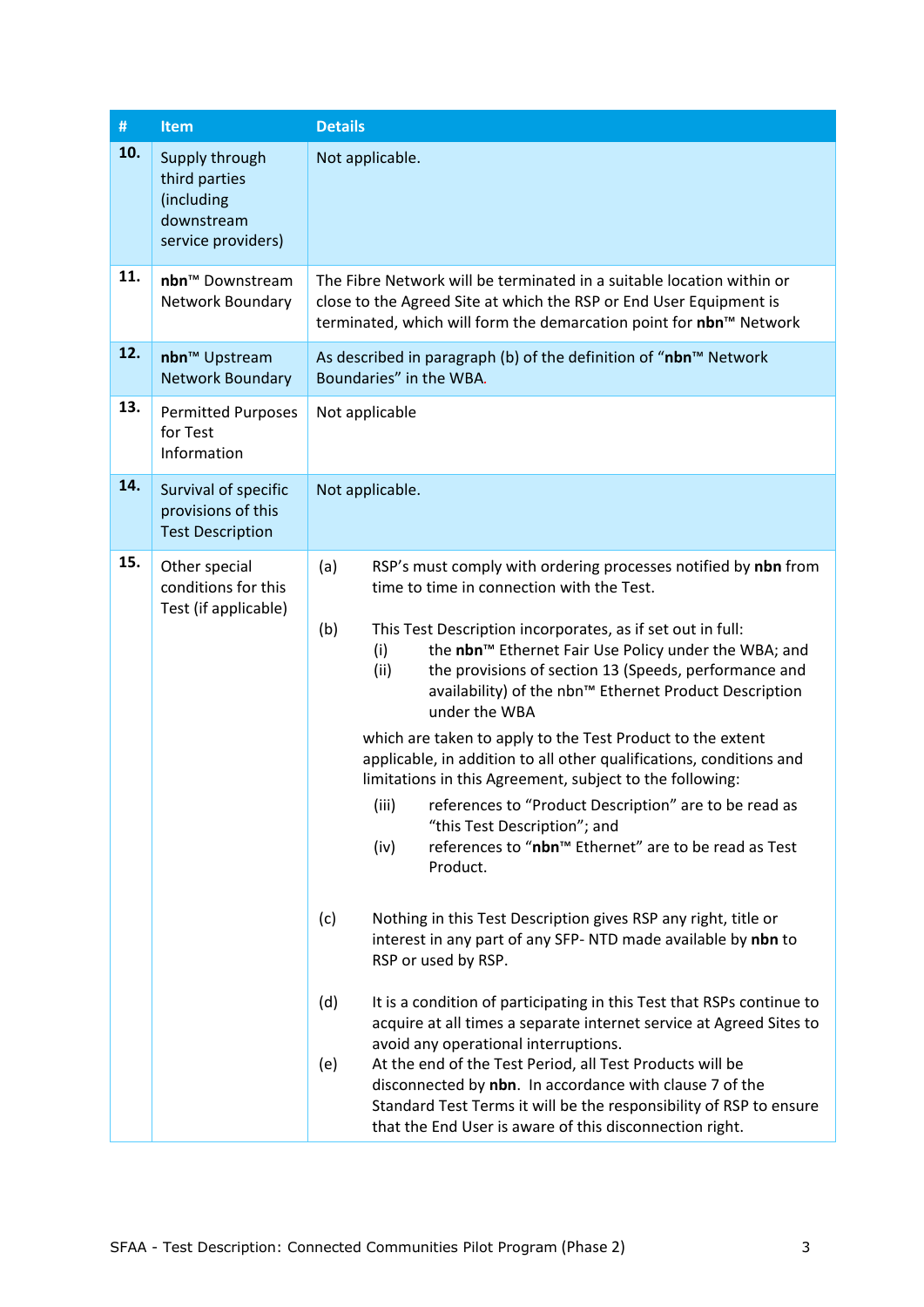| #   | <b>Item</b>                                                                       | <b>Details</b>                                                                                                                                                                                                                                                                                                                                                                                                                                                                                                                                                                                                                                                                                                                                                                                                                                                                                                                                                                                                                                                                                                                                                                                                                                                                                                                                                |
|-----|-----------------------------------------------------------------------------------|---------------------------------------------------------------------------------------------------------------------------------------------------------------------------------------------------------------------------------------------------------------------------------------------------------------------------------------------------------------------------------------------------------------------------------------------------------------------------------------------------------------------------------------------------------------------------------------------------------------------------------------------------------------------------------------------------------------------------------------------------------------------------------------------------------------------------------------------------------------------------------------------------------------------------------------------------------------------------------------------------------------------------------------------------------------------------------------------------------------------------------------------------------------------------------------------------------------------------------------------------------------------------------------------------------------------------------------------------------------|
| 10. | Supply through<br>third parties<br>(including<br>downstream<br>service providers) | Not applicable.                                                                                                                                                                                                                                                                                                                                                                                                                                                                                                                                                                                                                                                                                                                                                                                                                                                                                                                                                                                                                                                                                                                                                                                                                                                                                                                                               |
| 11. | nbn <sup>™</sup> Downstream<br>Network Boundary                                   | The Fibre Network will be terminated in a suitable location within or<br>close to the Agreed Site at which the RSP or End User Equipment is<br>terminated, which will form the demarcation point for nbn™ Network                                                                                                                                                                                                                                                                                                                                                                                                                                                                                                                                                                                                                                                                                                                                                                                                                                                                                                                                                                                                                                                                                                                                             |
| 12. | nbn <sup>™</sup> Upstream<br><b>Network Boundary</b>                              | As described in paragraph (b) of the definition of "nbn™ Network<br>Boundaries" in the WBA.                                                                                                                                                                                                                                                                                                                                                                                                                                                                                                                                                                                                                                                                                                                                                                                                                                                                                                                                                                                                                                                                                                                                                                                                                                                                   |
| 13. | <b>Permitted Purposes</b><br>for Test<br>Information                              | Not applicable                                                                                                                                                                                                                                                                                                                                                                                                                                                                                                                                                                                                                                                                                                                                                                                                                                                                                                                                                                                                                                                                                                                                                                                                                                                                                                                                                |
| 14. | Survival of specific<br>provisions of this<br><b>Test Description</b>             | Not applicable.                                                                                                                                                                                                                                                                                                                                                                                                                                                                                                                                                                                                                                                                                                                                                                                                                                                                                                                                                                                                                                                                                                                                                                                                                                                                                                                                               |
| 15. | Other special<br>conditions for this<br>Test (if applicable)                      | (a)<br>RSP's must comply with ordering processes notified by nbn from<br>time to time in connection with the Test.<br>This Test Description incorporates, as if set out in full:<br>(b)<br>the nbn <sup>™</sup> Ethernet Fair Use Policy under the WBA; and<br>(i)<br>the provisions of section 13 (Speeds, performance and<br>(ii)<br>availability) of the nbn™ Ethernet Product Description<br>under the WBA<br>which are taken to apply to the Test Product to the extent<br>applicable, in addition to all other qualifications, conditions and<br>limitations in this Agreement, subject to the following:<br>(iii) references to "Product Description" are to be read as<br>"this Test Description"; and<br>references to "nbn™ Ethernet" are to be read as Test<br>(iv)<br>Product.<br>Nothing in this Test Description gives RSP any right, title or<br>(c)<br>interest in any part of any SFP-NTD made available by nbn to<br>RSP or used by RSP.<br>(d)<br>It is a condition of participating in this Test that RSPs continue to<br>acquire at all times a separate internet service at Agreed Sites to<br>avoid any operational interruptions.<br>At the end of the Test Period, all Test Products will be<br>(e)<br>disconnected by nbn. In accordance with clause 7 of the<br>Standard Test Terms it will be the responsibility of RSP to ensure |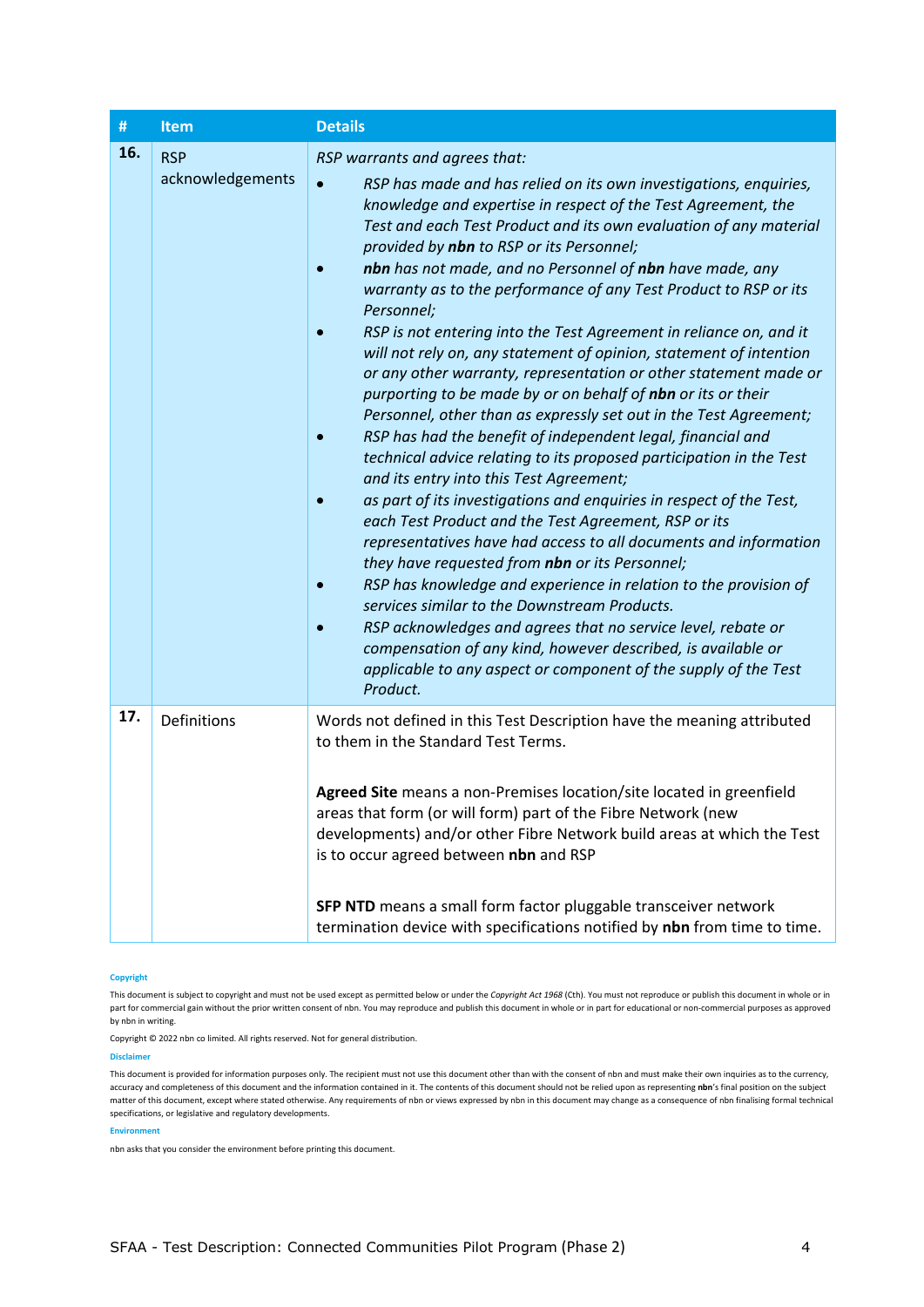| $\#$ | <b>Item</b>                    | <b>Details</b>                                                                                                                                                                                                                                                                                                                                                                                                                                                                                                                                                                                                                                                                                                                                                                                                                                                                                                                                                                                                                                                                                                                                                                                                                                                                                                                                                                                                                                                                                                                                                   |
|------|--------------------------------|------------------------------------------------------------------------------------------------------------------------------------------------------------------------------------------------------------------------------------------------------------------------------------------------------------------------------------------------------------------------------------------------------------------------------------------------------------------------------------------------------------------------------------------------------------------------------------------------------------------------------------------------------------------------------------------------------------------------------------------------------------------------------------------------------------------------------------------------------------------------------------------------------------------------------------------------------------------------------------------------------------------------------------------------------------------------------------------------------------------------------------------------------------------------------------------------------------------------------------------------------------------------------------------------------------------------------------------------------------------------------------------------------------------------------------------------------------------------------------------------------------------------------------------------------------------|
| 16.  | <b>RSP</b><br>acknowledgements | RSP warrants and agrees that:<br>RSP has made and has relied on its own investigations, enquiries,<br>knowledge and expertise in respect of the Test Agreement, the<br>Test and each Test Product and its own evaluation of any material<br>provided by nbn to RSP or its Personnel;<br>nbn has not made, and no Personnel of nbn have made, any<br>warranty as to the performance of any Test Product to RSP or its<br>Personnel;<br>RSP is not entering into the Test Agreement in reliance on, and it<br>will not rely on, any statement of opinion, statement of intention<br>or any other warranty, representation or other statement made or<br>purporting to be made by or on behalf of nbn or its or their<br>Personnel, other than as expressly set out in the Test Agreement;<br>RSP has had the benefit of independent legal, financial and<br>technical advice relating to its proposed participation in the Test<br>and its entry into this Test Agreement;<br>as part of its investigations and enquiries in respect of the Test,<br>each Test Product and the Test Agreement, RSP or its<br>representatives have had access to all documents and information<br>they have requested from nbn or its Personnel;<br>RSP has knowledge and experience in relation to the provision of<br>services similar to the Downstream Products.<br>RSP acknowledges and agrees that no service level, rebate or<br>compensation of any kind, however described, is available or<br>applicable to any aspect or component of the supply of the Test<br>Product. |
| 17.  | Definitions                    | Words not defined in this Test Description have the meaning attributed<br>to them in the Standard Test Terms.<br>Agreed Site means a non-Premises location/site located in greenfield<br>areas that form (or will form) part of the Fibre Network (new<br>developments) and/or other Fibre Network build areas at which the Test<br>is to occur agreed between nbn and RSP<br>SFP NTD means a small form factor pluggable transceiver network<br>termination device with specifications notified by nbn from time to time.                                                                                                                                                                                                                                                                                                                                                                                                                                                                                                                                                                                                                                                                                                                                                                                                                                                                                                                                                                                                                                       |

## **Copyright**

This document is subject to copyright and must not be used except as permitted below or under the *Copyright Act 1968* (Cth). You must not reproduce or publish this document in whole or in part for commercial gain without the prior written consent of nbn. You may reproduce and publish this document in whole or in part for educational or non-commercial purposes as approved by nbn in writing.

Copyright © 2022 nbn co limited. All rights reserved. Not for general distribution.

**Disclaimer**

This document is provided for information purposes only. The recipient must not use this document other than with the consent of nbn and must make their own inquiries as to the currency, accuracy and completeness of this document and the information contained in it. The contents of this document should not be relied upon as representing **nbn**'s final position on the subject matter of this document, except where stated otherwise. Any requirements of nbn or views expressed by nbn in this document may change as a consequence of nbn finalising formal technical specifications, or legislative and regulatory developments.

## **Environment**

nbn asks that you consider the environment before printing this document.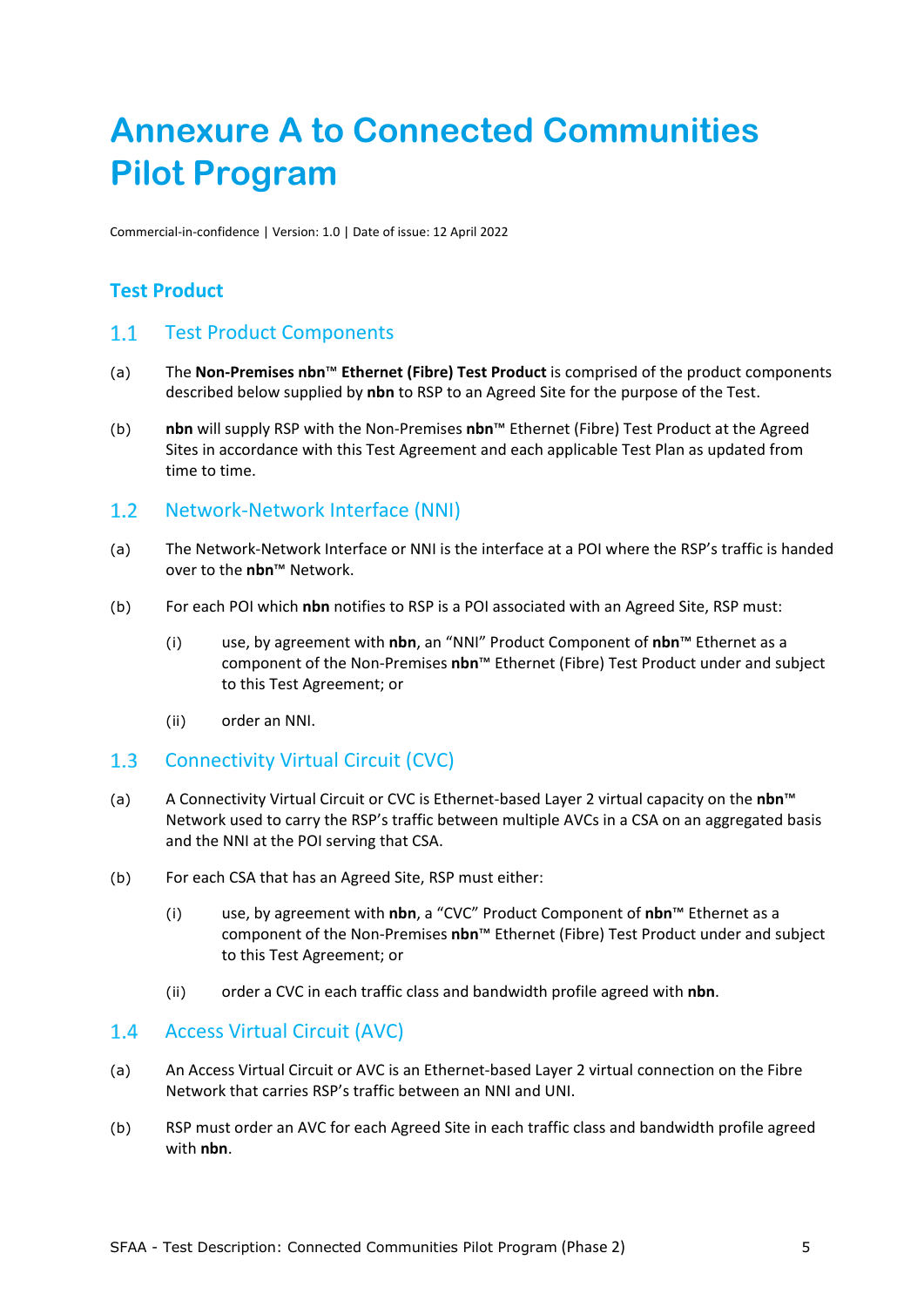# **Annexure A to Connected Communities Pilot Program**

Commercial-in-confidence | Version: 1.0 | Date of issue: 12 April 2022

## **Test Product**

## 1.1 Test Product Components

- (a) The **Non-Premises nbn**™ **Ethernet (Fibre) Test Product** is comprised of the product components described below supplied by **nbn** to RSP to an Agreed Site for the purpose of the Test.
- (b) **nbn** will supply RSP with the Non-Premises **nbn**™ Ethernet (Fibre) Test Product at the Agreed Sites in accordance with this Test Agreement and each applicable Test Plan as updated from time to time.

#### Network-Network Interface (NNI)  $1.2$

- (a) The Network-Network Interface or NNI is the interface at a POI where the RSP's traffic is handed over to the **nbn**™ Network.
- (b) For each POI which **nbn** notifies to RSP is a POI associated with an Agreed Site, RSP must:
	- (i) use, by agreement with **nbn**, an "NNI" Product Component of **nbn**™ Ethernet as a component of the Non-Premises **nbn**™ Ethernet (Fibre) Test Product under and subject to this Test Agreement; or
	- (ii) order an NNI.

### $1.3$ Connectivity Virtual Circuit (CVC)

- (a) A Connectivity Virtual Circuit or CVC is Ethernet-based Layer 2 virtual capacity on the **nbn**™ Network used to carry the RSP's traffic between multiple AVCs in a CSA on an aggregated basis and the NNI at the POI serving that CSA.
- (b) For each CSA that has an Agreed Site, RSP must either:
	- (i) use, by agreement with **nbn**, a "CVC" Product Component of **nbn**™ Ethernet as a component of the Non-Premises **nbn**™ Ethernet (Fibre) Test Product under and subject to this Test Agreement; or
	- (ii) order a CVC in each traffic class and bandwidth profile agreed with **nbn**.

#### $1.4$ Access Virtual Circuit (AVC)

- (a) An Access Virtual Circuit or AVC is an Ethernet-based Layer 2 virtual connection on the Fibre Network that carries RSP's traffic between an NNI and UNI.
- (b) RSP must order an AVC for each Agreed Site in each traffic class and bandwidth profile agreed with **nbn**.